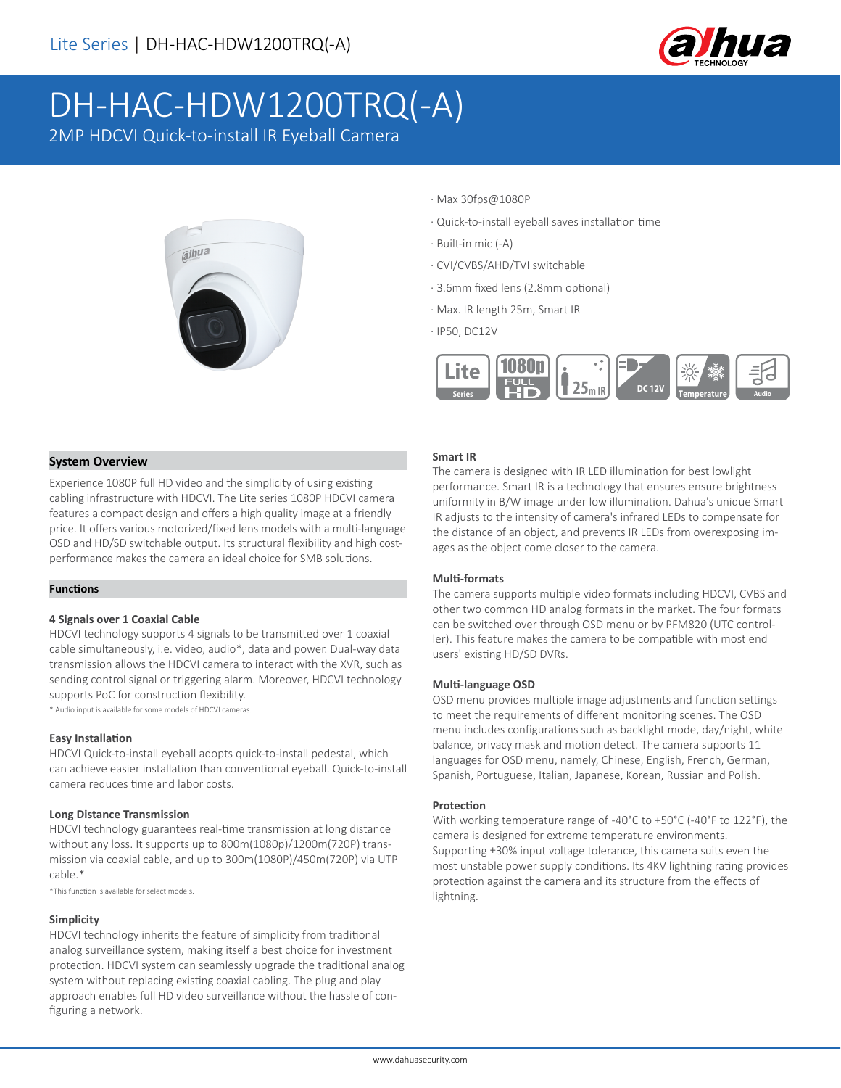

# DH-HAC-HDW1200TRQ(-A)

2MP HDCVI Quick-to-install IR Eyeball Camera



- · Max 30fps@1080P
- · Quick-to-install eyeball saves installation time
- · Built-in mic (-A)
- · CVI/CVBS/AHD/TVI switchable
- · 3.6mm fixed lens (2.8mm optional)
- · Max. IR length 25m, Smart IR
- · IP50, DC12V



# **System Overview**

Experience 1080P full HD video and the simplicity of using existing cabling infrastructure with HDCVI. The Lite series 1080P HDCVI camera features a compact design and offers a high quality image at a friendly price. It offers various motorized/fixed lens models with a multi-language OSD and HD/SD switchable output. Its structural flexibility and high costperformance makes the camera an ideal choice for SMB solutions.

#### **Functions**

## **4 Signals over 1 Coaxial Cable**

HDCVI technology supports 4 signals to be transmitted over 1 coaxial cable simultaneously, i.e. video, audio\*, data and power. Dual-way data transmission allows the HDCVI camera to interact with the XVR, such as sending control signal or triggering alarm. Moreover, HDCVI technology supports PoC for construction flexibility.

\* Audio input is available for some models of HDCVI cameras.

## **Easy Installation**

HDCVI Quick-to-install eyeball adopts quick-to-install pedestal, which can achieve easier installation than conventional eyeball. Quick-to-install camera reduces time and labor costs.

#### **Long Distance Transmission**

HDCVI technology guarantees real-time transmission at long distance without any loss. It supports up to 800m(1080p)/1200m(720P) transmission via coaxial cable, and up to 300m(1080P)/450m(720P) via UTP cable.\*

\*This function is available for select models.

## **Simplicity**

HDCVI technology inherits the feature of simplicity from traditional analog surveillance system, making itself a best choice for investment protection. HDCVI system can seamlessly upgrade the traditional analog system without replacing existing coaxial cabling. The plug and play approach enables full HD video surveillance without the hassle of configuring a network.

#### **Smart IR**

The camera is designed with IR LED illumination for best lowlight performance. Smart IR is a technology that ensures ensure brightness uniformity in B/W image under low illumination. Dahua's unique Smart IR adjusts to the intensity of camera's infrared LEDs to compensate for the distance of an object, and prevents IR LEDs from overexposing images as the object come closer to the camera.

#### **Multi-formats**

The camera supports multiple video formats including HDCVI, CVBS and other two common HD analog formats in the market. The four formats can be switched over through OSD menu or by PFM820 (UTC controller). This feature makes the camera to be compatible with most end users' existing HD/SD DVRs.

#### **Multi-language OSD**

OSD menu provides multiple image adjustments and function settings to meet the requirements of different monitoring scenes. The OSD menu includes configurations such as backlight mode, day/night, white balance, privacy mask and motion detect. The camera supports 11 languages for OSD menu, namely, Chinese, English, French, German, Spanish, Portuguese, Italian, Japanese, Korean, Russian and Polish.

#### **Protection**

With working temperature range of -40°C to +50°C (-40°F to 122°F), the camera is designed for extreme temperature environments. Supporting ±30% input voltage tolerance, this camera suits even the most unstable power supply conditions. Its 4KV lightning rating provides protection against the camera and its structure from the effects of lightning.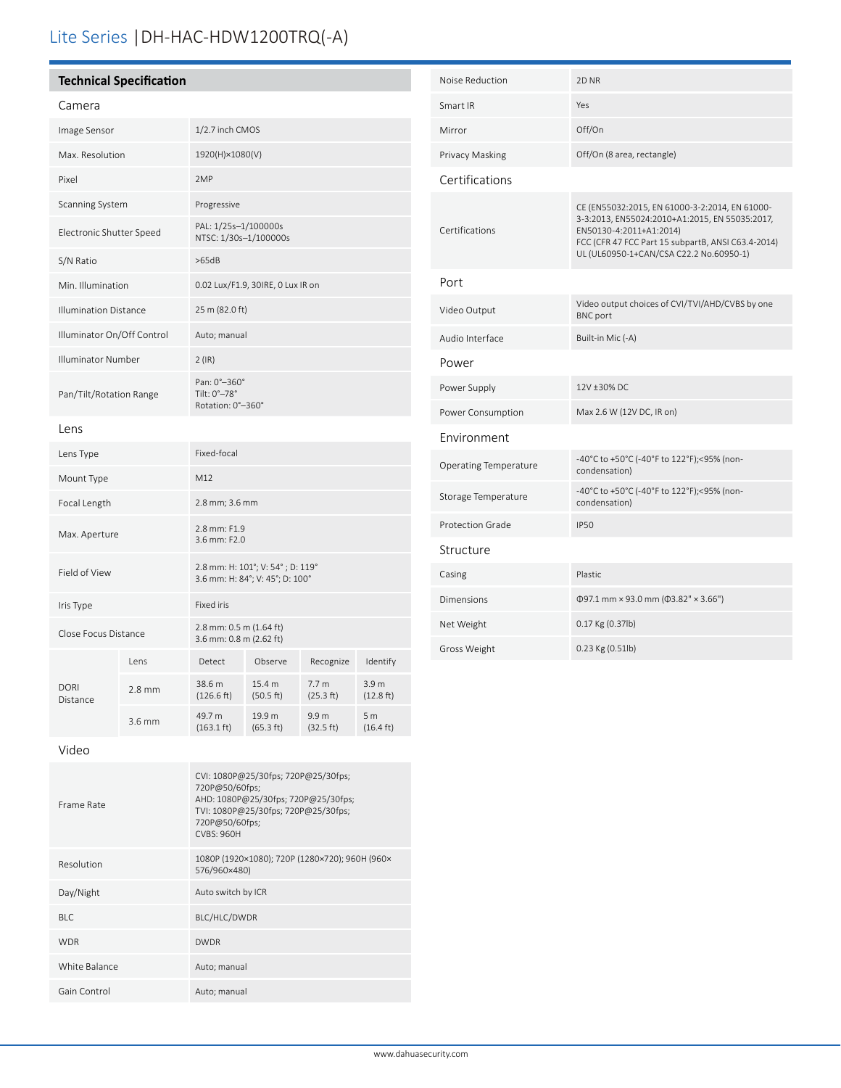# Lite Series |DH-HAC-HDW1200TRQ(-A)

# **Technical Specification**

| ı<br>-i i F<br>౼ |
|------------------|
|------------------|

| camera                       |          |                                                                     |                          |                               |                    |  |
|------------------------------|----------|---------------------------------------------------------------------|--------------------------|-------------------------------|--------------------|--|
| Image Sensor                 |          | 1/2.7 inch CMOS                                                     |                          |                               |                    |  |
| Max. Resolution              |          | 1920(H)×1080(V)                                                     |                          |                               |                    |  |
| Pixel                        |          | 2MP                                                                 |                          |                               |                    |  |
| <b>Scanning System</b>       |          | Progressive                                                         |                          |                               |                    |  |
| Electronic Shutter Speed     |          | PAL: 1/25s-1/100000s<br>NTSC: 1/30s-1/100000s                       |                          |                               |                    |  |
| S/N Ratio                    |          | >65dB                                                               |                          |                               |                    |  |
| Min. Illumination            |          | 0.02 Lux/F1.9, 30IRE, 0 Lux IR on                                   |                          |                               |                    |  |
| <b>Illumination Distance</b> |          | 25 m (82.0 ft)                                                      |                          |                               |                    |  |
| Illuminator On/Off Control   |          | Auto; manual                                                        |                          |                               |                    |  |
| <b>Illuminator Number</b>    |          | $2$ (IR)                                                            |                          |                               |                    |  |
| Pan/Tilt/Rotation Range      |          | Pan: 0°-360°<br>Tilt: 0°-78°<br>Rotation: 0°-360°                   |                          |                               |                    |  |
| Lens                         |          |                                                                     |                          |                               |                    |  |
| Lens Type                    |          | Fixed-focal                                                         |                          |                               |                    |  |
| Mount Type                   |          | M12                                                                 |                          |                               |                    |  |
| Focal Length                 |          | 2.8 mm; 3.6 mm                                                      |                          |                               |                    |  |
| Max. Aperture                |          | 2.8 mm: F1.9<br>3.6 mm: F2.0                                        |                          |                               |                    |  |
| Field of View                |          | 2.8 mm: H: 101°; V: 54°; D: 119°<br>3.6 mm: H: 84°; V: 45°; D: 100° |                          |                               |                    |  |
| Iris Type                    |          | Fixed iris                                                          |                          |                               |                    |  |
| Close Focus Distance         |          | 2.8 mm: 0.5 m (1.64 ft)<br>3.6 mm: 0.8 m (2.62 ft)                  |                          |                               |                    |  |
| DORI<br>Distance             | Lens     | Detect                                                              | Observe                  | Recognize                     | Identify           |  |
|                              | $2.8$ mm | 38.6 m<br>(126.6 ft)                                                | 15.4 m<br>(50.5 ft)      | 7.7 <sub>m</sub><br>(25.3 ft) | 3.9 m<br>(12.8 ft) |  |
|                              | $3.6$ mm | 49.7 m<br>110211                                                    | 19.9 m<br>$(CT \cap LL)$ | 9.9 <sub>m</sub><br>(225)     | 5 m<br>11C A L     |  |

| Noise Reduction              | 2D <sub>NR</sub>                                                                                                                                                                                                             |
|------------------------------|------------------------------------------------------------------------------------------------------------------------------------------------------------------------------------------------------------------------------|
| Smart IR                     | Yes                                                                                                                                                                                                                          |
| Mirror                       | Off/On                                                                                                                                                                                                                       |
| Privacy Masking              | Off/On (8 area, rectangle)                                                                                                                                                                                                   |
| Certifications               |                                                                                                                                                                                                                              |
| Certifications               | CE (EN55032:2015, EN 61000-3-2:2014, EN 61000-<br>3-3:2013, EN55024:2010+A1:2015, EN 55035:2017,<br>EN50130-4:2011+A1:2014)<br>FCC (CFR 47 FCC Part 15 subpartB, ANSI C63.4-2014)<br>UL (UL60950-1+CAN/CSA C22.2 No.60950-1) |
| Port                         |                                                                                                                                                                                                                              |
| Video Output                 | Video output choices of CVI/TVI/AHD/CVBS by one<br><b>BNC</b> port                                                                                                                                                           |
| Audio Interface              | Built-in Mic (-A)                                                                                                                                                                                                            |
| Power                        |                                                                                                                                                                                                                              |
| Power Supply                 | 12V ±30% DC                                                                                                                                                                                                                  |
| Power Consumption            | Max 2.6 W (12V DC, IR on)                                                                                                                                                                                                    |
| Environment                  |                                                                                                                                                                                                                              |
| <b>Operating Temperature</b> | -40°C to +50°C (-40°F to 122°F);<95% (non-<br>condensation)                                                                                                                                                                  |
| Storage Temperature          | -40°C to +50°C (-40°F to 122°F);<95% (non-<br>condensation)                                                                                                                                                                  |
| <b>Protection Grade</b>      | <b>IP50</b>                                                                                                                                                                                                                  |
| Structure                    |                                                                                                                                                                                                                              |
| Casing                       | <b>Plastic</b>                                                                                                                                                                                                               |
| Dimensions                   | $\Phi$ 97.1 mm × 93.0 mm ( $\Phi$ 3.82" × 3.66")                                                                                                                                                                             |
| Net Weight                   | 0.17 Kg (0.37lb)                                                                                                                                                                                                             |
| Gross Weight                 | 0.23 Kg (0.51lb)                                                                                                                                                                                                             |

Video

| Frame Rate    | CVI: 1080P@25/30fps; 720P@25/30fps;<br>720P@50/60fps;<br>AHD: 1080P@25/30fps; 720P@25/30fps;<br>TVI: 1080P@25/30fps; 720P@25/30fps;<br>720P@50/60fps;<br><b>CVBS: 960H</b> |
|---------------|----------------------------------------------------------------------------------------------------------------------------------------------------------------------------|
| Resolution    | 1080P (1920×1080); 720P (1280×720); 960H (960×<br>576/960×480)                                                                                                             |
| Day/Night     | Auto switch by ICR                                                                                                                                                         |
| BIC.          | BLC/HLC/DWDR                                                                                                                                                               |
| <b>WDR</b>    | <b>DWDR</b>                                                                                                                                                                |
| White Balance | Auto; manual                                                                                                                                                               |
| Gain Control  | Auto; manual                                                                                                                                                               |

(163.1 ft)

(65.3 ft)

(32.5 ft)

(16.4 ft)